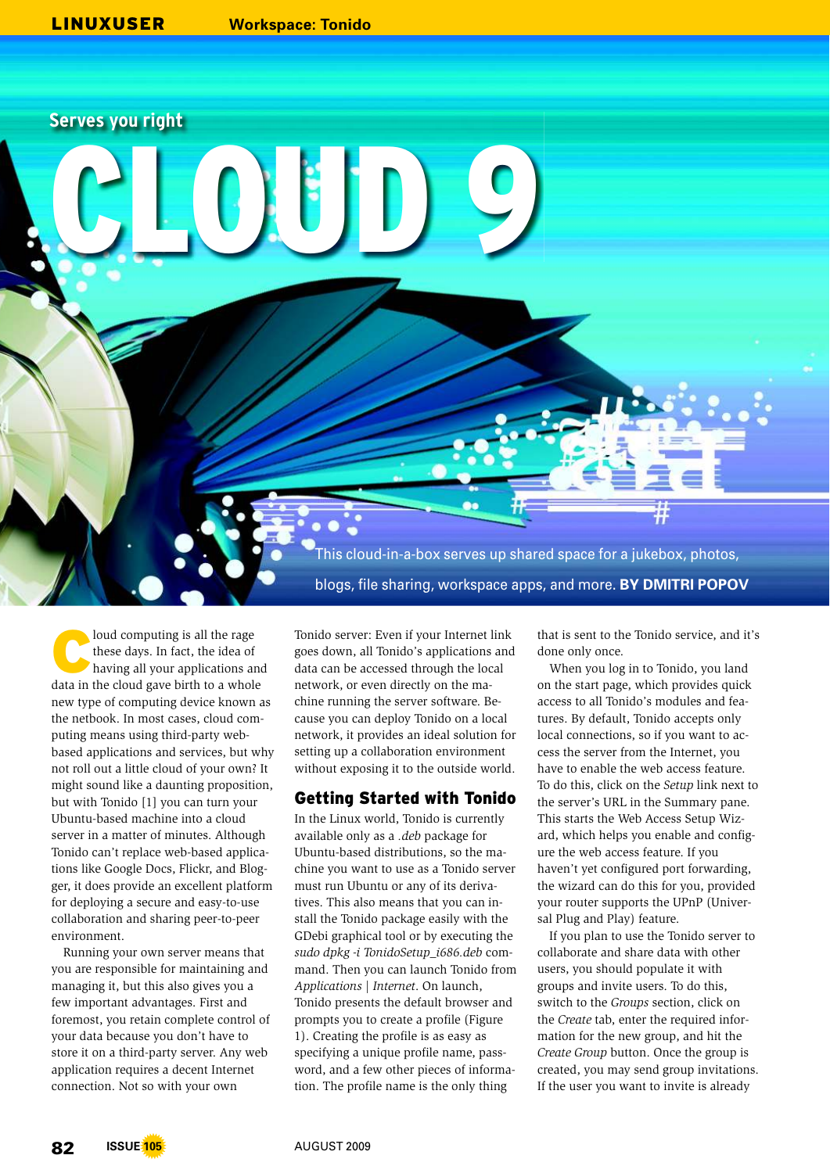CORE DE

**Serves you right**

This cloud-in-a-box serves up shared space for a jukebox, photos, blogs, file sharing, workspace apps, and more. **BY DMITRI POPOV**

C loud computing is all the rage these days. In fact, the idea of having all your applications and data in the cloud gave birth to a whole new type of computing device known as the netbook. In most cases, cloud computing means using third-party webbased applications and services, but why not roll out a little cloud of your own? It might sound like a daunting proposition, but with Tonido [1] you can turn your Ubuntu-based machine into a cloud server in a matter of minutes. Although Tonido can't replace web-based applications like Google Docs, Flickr, and Blogger, it does provide an excellent platform for deploying a secure and easy-to-use collaboration and sharing peer-to-peer environment.

Running your own server means that you are responsible for maintaining and managing it, but this also gives you a few important advantages. First and foremost, you retain complete control of your data because you don't have to store it on a third-party server. Any web application requires a decent Internet connection. Not so with your own

Tonido server: Even if your Internet link goes down, all Tonido's applications and data can be accessed through the local network, or even directly on the machine running the server software. Because you can deploy Tonido on a local network, it provides an ideal solution for setting up a collaboration environment without exposing it to the outside world.

## Getting Started with Tonido

In the Linux world, Tonido is currently available only as a *.deb* package for Ubuntu-based distributions, so the machine you want to use as a Tonido server must run Ubuntu or any of its derivatives. This also means that you can install the Tonido package easily with the GDebi graphical tool or by executing the *sudo dpkg -i TonidoSetup\_i686.deb* command. Then you can launch Tonido from *Applications | Internet*. On launch, Tonido presents the default browser and prompts you to create a profile (Figure 1). Creating the profile is as easy as specifying a unique profile name, password, and a few other pieces of information. The profile name is the only thing

that is sent to the Tonido service, and it's done only once.

When you log in to Tonido, you land on the start page, which provides quick access to all Tonido's modules and features. By default, Tonido accepts only local connections, so if you want to access the server from the Internet, you have to enable the web access feature. To do this, click on the *Setup* link next to the server's URL in the Summary pane. This starts the Web Access Setup Wizard, which helps you enable and configure the web access feature. If you haven't yet configured port forwarding, the wizard can do this for you, provided your router supports the UPnP (Universal Plug and Play) feature.

If you plan to use the Tonido server to collaborate and share data with other users, you should populate it with groups and invite users. To do this, switch to the *Groups* section, click on the *Create* tab, enter the required information for the new group, and hit the *Create Group* button. Once the group is created, you may send group invitations. If the user you want to invite is already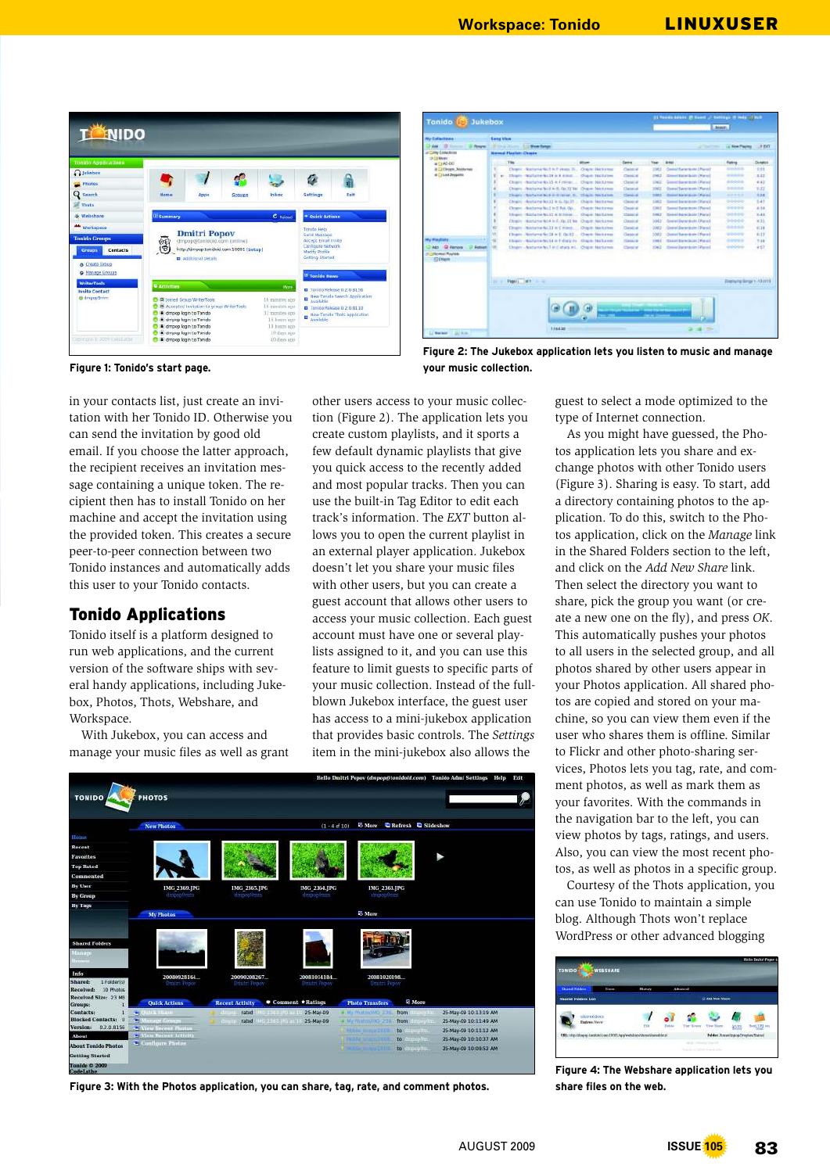

| Jukebox<br><b>Tonido</b>                    |                                |               |                                                          |                         |                   |               | 11 Tomah Balance (Tribunet ) Settings 25 Help  I dist |                             |               |  |  |
|---------------------------------------------|--------------------------------|---------------|----------------------------------------------------------|-------------------------|-------------------|---------------|-------------------------------------------------------|-----------------------------|---------------|--|--|
|                                             |                                |               |                                                          |                         |                   |               | heats.                                                |                             |               |  |  |
| <b>Ny Exteriors</b>                         | <b>Cany Vira</b>               |               |                                                          |                         |                   |               |                                                       |                             |               |  |  |
| D'Any 10 Young<br><b>JC Reserves</b>        |                                |               | Mit Amar Atlanta, Las West Songs                         |                         |                   |               | and the first party                                   | 1.0 King Playing            | $-9$ EKT      |  |  |
| - City Collections                          | <b>Reveal Plastier: Cleans</b> |               |                                                          |                         |                   |               |                                                       |                             |               |  |  |
| <b>Digital Marshe</b><br>$B = 1AD$          |                                | Title         |                                                          | <b>Wom:</b>             | <b>Came</b>       | <b>Year</b>   | Artes                                                 | Flatting                    | <b>Downer</b> |  |  |
| <b>B CI Chopie Xeisternas</b>               |                                |               | Chopes: Disclaim Boll in Fishees Dr.,                    | Chiene Horkstein        | Classical:        | TMT           | Control Ramer Armer 1 Force 1                         | -----                       | $7 - 1$       |  |  |
| d C1140 Zeppets                             |                                |               | Tham Holland Ac.18 is 8 King                             | Chapm Nothern           | <b>Check</b> of   | 234.5         | <b>Direct Rares Scott, (Marvel</b>                    | ----                        | 3.42          |  |  |
|                                             |                                |               | Chopers + Rostlame Ro. 15 in Finlingc                    | Chigan: Nockanser       | Овеси-            | $-0.1$        | General Steven Booth   Flamed                         | 80008                       | 4.43          |  |  |
|                                             |                                |               | Chopen, Business Book in R. On 12 lie. Chopen Machinese  |                         | Chevrolet         | <b>TIME</b>   | <b><i>Dawn Tacto Anno Thand</i></b>                   | <b>SAMA</b>                 | <b>WATE</b>   |  |  |
|                                             |                                |               | Chapty (North to North Schweise, St., Chapter North See  |                         | Chessine          | <b>SIMPLE</b> | <b>Direct his bide one (Ported)</b>                   | <b>A-4-6-A</b>              | 4.38          |  |  |
|                                             |                                |               | Chogoy - Rostume Ro.13 le G. Pa. 37 -                    | <b>Chigat Hotzway</b>   | Classical:        | 5,002         | Samuel Bay art double ( Flame) I                      | 99999                       | 3.45          |  |  |
|                                             |                                |               | Chopes - Machinea No.2 to E Rab On.                      | <b>Chapter Hardway</b>  | Chevrolet of      | <b>T.M.</b>   | <b>Daniel Barge Acces   Pianis!</b>                   | -----                       | 4.14          |  |  |
|                                             |                                |               | TROBES - Notherlin No. 15 & B Fringy,                    | Chaple: Northelper      | <b>Classical</b>  | <b>SHEZ</b>   | <b>Statistic Report Series 1 Fold to 3</b>            | 1001010                     | 5.4.5         |  |  |
|                                             |                                |               | Those Bottome No.4 in F. Op.11 No. 13 april, Northern    |                         | <b>Clinical</b>   | 2042          | Grand Darte Bolle, Diaroll                            | 90000                       | with          |  |  |
|                                             |                                |               | Chopin - Notfurna Hz.13 in C.minot.                      | <b>Charles Machines</b> | <b>Chester of</b> | 2042          | Granted Counterdoctor: Chiaract                       | ----                        | <b>ASTE</b>   |  |  |
|                                             | n                              |               | Dopin - Nortena No.18 in L. Op.82  Cleans: Nortenan      |                         | Classical         | 5083          | <b>Channel Rates de ann 1 Form 1</b>                  | 90009                       | 16.13         |  |  |
| My Risplace                                 | ÷                              |               | Chosny - Northern No.14 is 1-shalp m. Chapel - Northerne |                         | CHACK             | tind 3        | <b>Haired Bieterboiro   Piacel  </b>                  | *****                       | 1:18          |  |  |
| Ago @ Ranger<br>. U Salvan                  |                                |               | Dogini - Anthena No. 7 in Eatlant Inc., Chiese Machines, |                         | <b>Calendar</b>   | EM2           | <b>Statist Uprecknin (Warel)</b>                      | ----                        | 457           |  |  |
| <b>Call Come! Revise</b><br><b>TT Engon</b> |                                |               |                                                          |                         |                   |               |                                                       |                             |               |  |  |
|                                             | 11.1                           | Pagers  list: | --                                                       |                         |                   |               |                                                       | Displaying Senge 1-12 of 14 |               |  |  |

**Figure 2: The Jukebox application lets you listen to music and manage your music collection.**

**Figure 1: Tonido's start page.** 

in your contacts list, just create an invitation with her Tonido ID. Otherwise you can send the invitation by good old email. If you choose the latter approach, the recipient receives an invitation message containing a unique token. The recipient then has to install Tonido on her machine and accept the invitation using the provided token. This creates a secure peer-to-peer connection between two Tonido instances and automatically adds this user to your Tonido contacts.

## Tonido Applications

Tonido itself is a platform designed to run web applications, and the current version of the software ships with several handy applications, including Jukebox, Photos, Thots, Webshare, and Workspace.

With Jukebox, you can access and manage your music files as well as grant other users access to your music collection (Figure 2). The application lets you create custom playlists, and it sports a few default dynamic playlists that give you quick access to the recently added and most popular tracks. Then you can use the built-in Tag Editor to edit each track's information. The *EXT* button allows you to open the current playlist in an external player application. Jukebox doesn't let you share your music files with other users, but you can create a guest account that allows other users to access your music collection. Each guest account must have one or several playlists assigned to it, and you can use this feature to limit guests to specific parts of your music collection. Instead of the fullblown Jukebox interface, the guest user has access to a mini-jukebox application that provides basic controls. The *Settings* item in the mini-jukebox also allows the

|                                                |                                                            |                                              |                       |                                         | Hello Dmitri Popov (dmpop@tonidoid.com) Tonido Admi Settings Help | Exit |
|------------------------------------------------|------------------------------------------------------------|----------------------------------------------|-----------------------|-----------------------------------------|-------------------------------------------------------------------|------|
| <b>TONIDO</b>                                  | <b>PHOTOS</b>                                              |                                              |                       |                                         |                                                                   |      |
|                                                | New Photos                                                 |                                              | $(1 - 4$ of 10)       | <b>E More</b> C Refresh C Slideshow     |                                                                   |      |
| Hounn                                          |                                                            |                                              |                       |                                         |                                                                   |      |
| Recent                                         |                                                            |                                              |                       |                                         |                                                                   |      |
| Favorites                                      |                                                            |                                              |                       |                                         |                                                                   |      |
| Top Rated                                      |                                                            |                                              |                       |                                         |                                                                   |      |
| Commented                                      |                                                            |                                              |                       |                                         |                                                                   |      |
| By User                                        | <b>IMG 2369.IPG</b>                                        | IMG 2365.JPG                                 | IMG 2364.JPG          | IMG 2363.JPG                            |                                                                   |      |
| By Group                                       | dumoo@um                                                   | damoo@anm                                    | drapoo@mm             | dittooo@rimt                            |                                                                   |      |
| By Tags                                        |                                                            |                                              |                       |                                         |                                                                   |      |
|                                                | My Photos                                                  |                                              |                       | <sup>E</sup> More                       |                                                                   |      |
|                                                |                                                            |                                              |                       |                                         |                                                                   |      |
|                                                |                                                            |                                              |                       |                                         |                                                                   |      |
| <b>Shared Folders</b>                          |                                                            |                                              |                       |                                         |                                                                   |      |
| <b>Hanage</b>                                  |                                                            |                                              |                       |                                         |                                                                   |      |
| liter to                                       |                                                            |                                              |                       |                                         |                                                                   |      |
| Info                                           | 20080928164                                                | 20090208267.                                 | 20081014184           | 20081020198                             |                                                                   |      |
| 1 Folder[s]<br><b>Shared:</b>                  | Duitri Popov                                               | Drinin Fenor                                 | <b>Dittitli Poppy</b> | Dmitri Fopini                           |                                                                   |      |
| Received:<br>10 Photos<br>Received Size: 23 MB |                                                            |                                              |                       |                                         |                                                                   |      |
| Groups:                                        | <b>Quick Actions</b>                                       | <b>Recent Activity</b>                       | Comment *Ratings      | <b>Planto Transfers</b>                 | <b>Z</b> More                                                     |      |
| Contacts:<br>а                                 | <b>Barris Albann</b><br>SE.                                | fated<br>$1345 - 0 = 10$                     | 25-May-09             | 4. He Photoshing, 230<br>from           | 25-May-09 10:13:19 AM<br>111-521111                               |      |
| <b>Blocked Contacts: 0</b>                     | m.<br><b>General Group</b>                                 | rated<br><b>CITIES INVARY</b><br><b>draw</b> | 25-May-09             | # Mr Philosophy 236                     | 25-May-09-10:11:49 AM<br>from the pilot                           |      |
| Version:<br>0.2.0.8156                         | <b>C West Becent Photos</b><br>les Recent Activity<br>er i |                                              |                       | <b>Chesile was TUIS</b><br>to an estima | 25-May-09 10:11:12 AM                                             |      |
| About                                          | Configure Photos                                           |                                              |                       | to direction.<br><b>Felipe Stampage</b> | 25-May-09-10:10:37 AM                                             |      |
| <b>About Tonido Photos</b>                     |                                                            |                                              |                       | <b>SECTION SERVICE</b><br>to an open.   | 25-May-09-10:09:52 AM                                             |      |
| <b>Getting Started</b>                         |                                                            |                                              |                       |                                         |                                                                   |      |
| Tonido © 2009<br>Codel ather                   |                                                            |                                              |                       |                                         |                                                                   |      |

**Figure 3: With the Photos application, you can share, tag, rate, and comment photos.**

guest to select a mode optimized to the type of Internet connection.

As you might have guessed, the Photos application lets you share and exchange photos with other Tonido users (Figure 3). Sharing is easy. To start, add a directory containing photos to the application. To do this, switch to the Photos application, click on the *Manage* link in the Shared Folders section to the left, and click on the *Add New Share* link. Then select the directory you want to share, pick the group you want (or create a new one on the fly), and press *OK*. This automatically pushes your photos to all users in the selected group, and all photos shared by other users appear in your Photos application. All shared photos are copied and stored on your machine, so you can view them even if the user who shares them is offline. Similar to Flickr and other photo-sharing services, Photos lets you tag, rate, and comment photos, as well as mark them as your favorites. With the commands in the navigation bar to the left, you can view photos by tags, ratings, and users. Also, you can view the most recent photos, as well as photos in a specific group.

Courtesy of the Thots application, you can use Tonido to maintain a simple blog. Although Thots won't replace WordPress or other advanced blogging



**Figure 4: The Webshare application lets you share files on the web.**